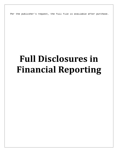Per the publisher's request, the full file is available after purchase.

# **Full Disclosures in Financial Reporting**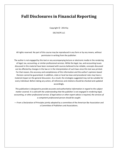### **Full Disclosures in Financial Reporting**

Copyright  $\odot$  2014 by

#### DELTACPE LLC

All rights reserved. No part of this course may be reproduced in any form or by any means, without permission in writing from the publisher.

The author is not engaged by this text or any accompanying lecture or electronic media in the rendering of legal, tax, accounting, or similar professional services. While the legal, tax, and accounting issues discussed in this material have been reviewed with sources believed to be reliable, concepts discussed can be affected by changes in the law or in the interpretation of such laws since this text was printed. For that reason, the accuracy and completeness of this information and the author's opinions based thereon cannot be guaranteed. In addition, state or local tax laws and procedural rules may have a material impact on the general discussion. As a result, the strategies suggested may not be suitable for every individual. Before taking any action, all references and citations should be checked and updated accordingly.

*This publication is designed to provide accurate and authoritative information in regard to the subject matter covered. It is sold with the understanding that the publisher is not engaged in rendering legal, accounting, or other professional service. If legal advice or other expert advice is required, the services of a competent professional person should be sought.*

—-From a Declaration of Principles jointly adopted by a committee of the American Bar Association and a Committee of Publishers and Associations.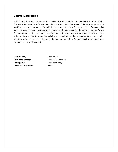#### **Course Description**

The full disclosure principle, one of major accounting principles, requires that information provided in financial statements be sufficiently complete to avoid misleading users of the reports by omitting significant facts of information. The full disclosure principle also refers to revealing information that would be useful in the decision-making processes of informed users. Full disclosure is required for the fair presentation of financial statements. This course discusses the disclosures required of companies, including those related to accounting policies, segmental information, related parties, contingencies, long-term purchase contract obligations, inflation, and derivatives. Sample annual reports addressing this requirement are illustrated.

**Field of Study Accounting Level of Knowledge** Basic to Intermediate **Prerequisite** Basic Accounting **Advanced Preparation** None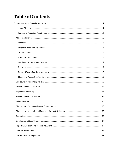## **Table of Contents**